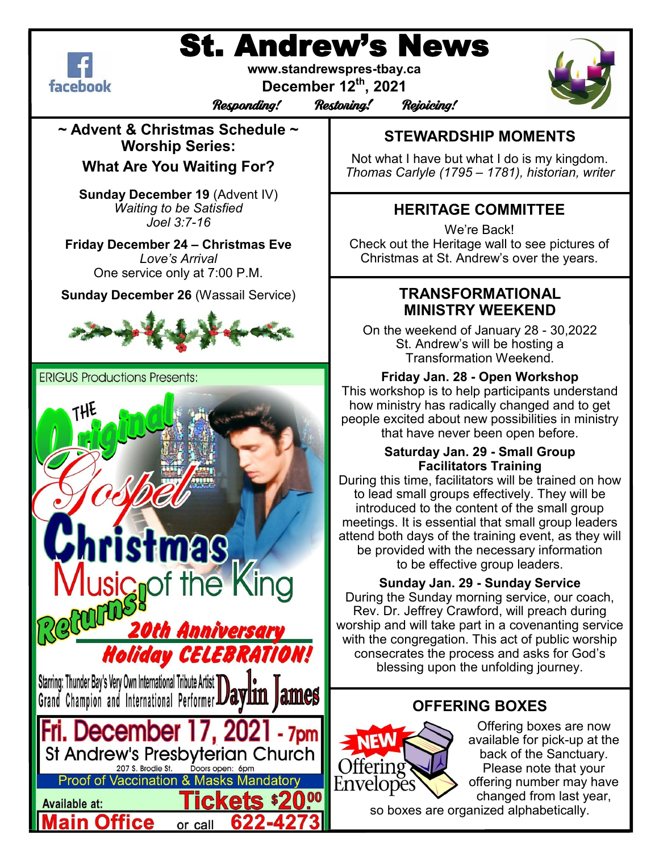# St. Andrew's News



**www.standrewspres-tbay.ca**

**December 12th, 2021**

Responding! Restoring! Rejoicing!



**~ Advent & Christmas Schedule ~ Worship Series:** 

**What Are You Waiting For?**

**Sunday December 19** (Advent IV) *Waiting to be Satisfied Joel 3:7-16*

**Friday December 24 – Christmas Eve** *Love's Arrival* One service only at 7:00 P.M.

**Sunday December 26** (Wassail Service)



**ERIGUS Productions Presents:** 



# **STEWARDSHIP MOMENTS**

Not what I have but what I do is my kingdom. *Thomas Carlyle (1795 – 1781), historian, writer*

# **HERITAGE COMMITTEE**

We're Back! Check out the Heritage wall to see pictures of Christmas at St. Andrew's over the years.

### **TRANSFORMATIONAL MINISTRY WEEKEND**

On the weekend of January 28 - 30,2022 St. Andrew's will be hosting a Transformation Weekend.

#### **Friday Jan. 28 - Open Workshop**

This workshop is to help participants understand how ministry has radically changed and to get people excited about new possibilities in ministry that have never been open before.

#### **Saturday Jan. 29 - Small Group Facilitators Training**

During this time, facilitators will be trained on how to lead small groups effectively. They will be introduced to the content of the small group meetings. It is essential that small group leaders attend both days of the training event, as they will be provided with the necessary information to be effective group leaders.

#### **Sunday Jan. 29 - Sunday Service**

During the Sunday morning service, our coach, Rev. Dr. Jeffrey Crawford, will preach during worship and will take part in a covenanting service with the congregation. This act of public worship consecrates the process and asks for God's blessing upon the unfolding journey.

# **OFFERING BOXES**



Offering boxes are now available for pick-up at the back of the Sanctuary. Please note that your offering number may have changed from last year,

so boxes are organized alphabetically.